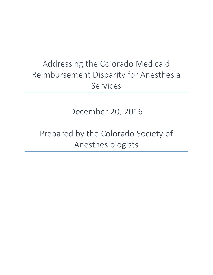## Addressing the Colorado Medicaid Reimbursement Disparity for Anesthesia Services

December 20, 2016

Prepared by the Colorado Society of Anesthesiologists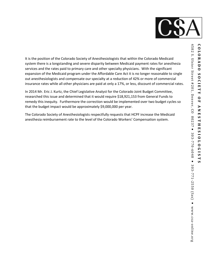

It is the position of the Colorado Society of Anesthesiologists that within the Colorado Medicaid system there is a longstanding and severe disparity between Medicaid payment rates for anesthesia services and the rates paid to primary care and other specialty physicians. With the significant expansion of the Medicaid program under the Affordable Care Act it is no longer reasonable to single out anesthesiologists and compensate our specialty at a reduction of 42% or more of commercial insurance rates while all other physicians are paid at only a 17%, or less, discount of commercial rates.

In 2014 Mr. Eric J. Kurtz, the Chief Legislative Analyst for the Colorado Joint Budget Committee, researched this issue and determined that it would require \$18,921,153 from General Funds to remedy this inequity. Furthermore the correction would be implemented over two budget cycles so that the budget impact would be approximately \$9,000,000 per year.

The Colorado Society of Anesthesiologists respectfully requests that HCPF increase the Medicaid anesthesia reimbursement rate to the level of the Colorado Workers' Compensation system.

COLORADO **O L O R A D O** 

**S O C I E T Y** 

SOCIETY

**O F** 

Z Ħ  $\mathbf{S}$ ⊣  $\blacksquare$  $\blacksquare$ 

8 J. S I O O T O T O T O C I S J. N

SI9010IS

 $\overline{\phantom{0}}$ S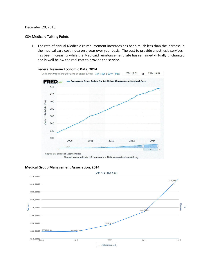## December 20, 2016

## CSA Medicaid Talking Points

1. The rate of annual Medicaid reimbursement increases has been much less than the increase in the medical care cost index on a year over year basis. The cost to provide anesthesia services has been increasing while the Medicaid reimbursement rate has remained virtually unchanged and is well below the real cost to provide the service.



## **Medical Group Management Association, 2014**

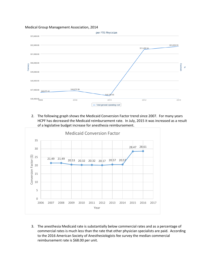Medical Group Management Association, 2014



2. The following graph shows the Medicaid Conversion Factor trend since 2007. For many years HCPF has decreased the Medicaid reimbursement rate. In July, 2015 it was increased as a result of a legislative budget increase for anesthesia reimbursement.



3. The anesthesia Medicaid rate is substantially below commercial rates and as a percentage of commercial rates is much less than the rate that other physician specialists are paid. According to the 2016 American Society of Anesthesiologists fee survey the median commercial reimbursement rate is \$68.00 per unit.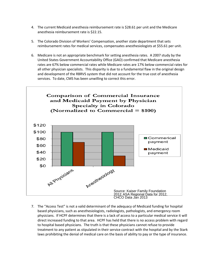- 4. The current Medicaid anesthesia reimbursement rate is \$28.61 per unit and the Medicare anesthesia reimbursement rate is \$22.15.
- 5. The Colorado Division of Workers' Compensation, another state department that sets reimbursement rates for medical services, compensates anesthesiologists at \$55.61 per unit.
- 6. Medicare is not an appropriate benchmark for setting anesthesia rates. A 2007 study by the United States Government Accountability Office (GAO) confirmed that Medicare anesthesia rates are 67% below commercial rates while Medicare rates are 17% below commercial rates for all other physician specialists. This disparity is due to a fundamental flaw in the original design and development of the RBRVS system that did not account for the true cost of anesthesia services. To date, CMS has been unwilling to correct this error.



7. The "Access Test" is not a valid determinant of the adequacy of Medicaid funding for hospital based physicians, such as anesthesiologists, radiologists, pathologists, and emergency room physicians. If HCPF determines that there is a lack of access to a particular medical service it will direct increased funding to that area. HCPF has held that there is no access problem with regard to hospital based physicians. The truth is that these physicians cannot refuse to provide treatment to any patient as stipulated in their service contract with the hospital and by the Stark laws prohibiting the denial of medical care on the basis of ability to pay or the type of insurance.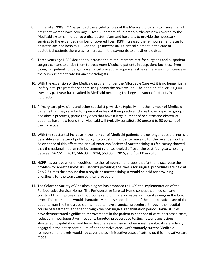- 8. In the late 1990s HCPF expanded the eligibility rules of the Medicaid program to insure that all pregnant women have coverage. Over 38 percent of Colorado births are now covered by the Medicaid system. In order to entice obstetricians and hospitals to provide the necessary services to the expanded number of covered lives HCPF increased the reimbursement rates for obstetricians and hospitals. Even though anesthesia is a critical element in the care of obstetrical patients there was no increase in the payments to anesthesiologists.
- 9. Three years ago HCPF decided to increase the reimbursement rate for surgeons and outpatient surgery centers to entice them to treat more Medicaid patients in outpatient facilities. Even though all patients undergoing a surgical procedure require anesthesia there was no increase in the reimbursement rate for anesthesiologists.
- 10. With the expansion of the Medicaid program under the Affordable Care Act it is no longer just a "safety net" program for patients living below the poverty line. The addition of over 200,000 lives this past year has resulted in Medicaid becoming the largest insurer of patients in Colorado.
- 11. Primary care physicians and other specialist physicians typically limit the number of Medicaid patients that they care for to 5 percent or less of their practice. Unlike those physician groups, anesthesia practices, particularly ones that have a large number of pediatric and obstetrical patients, have now found that Medicaid will typically constitute 20 percent to 50 percent of their practice.
- 12. With the substantial increase in the number of Medicaid patients it is no longer possible, nor is it desirable as a matter of public policy, to cost shift in order to make up for the revenue shortfall. As evidence of this effect, the annual American Society of Anesthesiologists fee survey showed that the national median reimbursement rate has leveled off over the past four years, holding between \$67.61 in 2013, \$66.00 in 2014, \$68.00 in 2015, and \$68.00 in 2016.
- 13. HCPF has built payment inequities into the reimbursement rates that further exacerbate the problem for anesthesiologists. Dentists providing anesthesia for surgical procedures are paid at 2 to 2.3 times the amount that a physician anesthesiologist would be paid for providing anesthesia for the exact same surgical procedure.
- 14. The Colorado Society of Anesthesiologists has proposed to HCPF the implementation of the Perioperative Surgical Home. The Perioperative Surgical Home concept is a medical care construct that improves health outcomes and ultimately creates significant savings in the long term. This care model would dramatically increase coordination of the perioperative care of the patient, from the time a decision is made to have a surgical procedure, through the hospital course of treatment, and then through the postsurgical rehabilitation period. Initial studies have demonstrated significant improvements in the patient experience of care, decreased costs, reduction in postoperative infections, targeted preoperative testing, fewer transfusions, shortened hospital stays, and fewer hospital readmissions when anesthesiologists are actively engaged in the entire continuum of perioperative care. Unfortunately current Medicaid reimbursement levels would not cover the administrative costs of setting up this innovative care model.